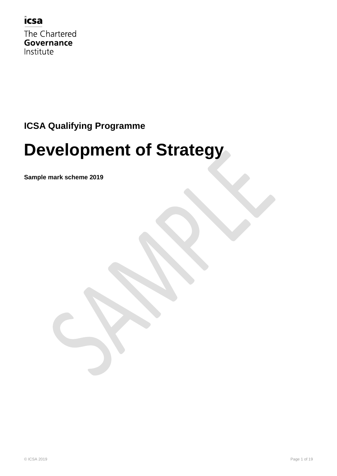

The Chartered Governance Institute

## **ICSA Qualifying Programme**

## **Development of Strategy**

**Sample mark scheme 2019**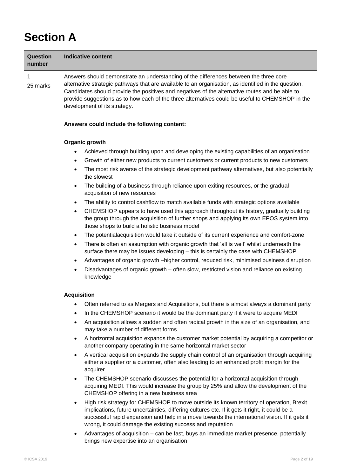## **Section A**

| Question<br>number | <b>Indicative content</b>                                                                                                                                                                                                                                                                                                                                                                                                          |  |  |
|--------------------|------------------------------------------------------------------------------------------------------------------------------------------------------------------------------------------------------------------------------------------------------------------------------------------------------------------------------------------------------------------------------------------------------------------------------------|--|--|
| 1<br>25 marks      | Answers should demonstrate an understanding of the differences between the three core<br>alternative strategic pathways that are available to an organisation, as identified in the question.<br>Candidates should provide the positives and negatives of the alternative routes and be able to<br>provide suggestions as to how each of the three alternatives could be useful to CHEMSHOP in the<br>development of its strategy. |  |  |
|                    | Answers could include the following content:                                                                                                                                                                                                                                                                                                                                                                                       |  |  |
|                    | Organic growth                                                                                                                                                                                                                                                                                                                                                                                                                     |  |  |
|                    | Achieved through building upon and developing the existing capabilities of an organisation<br>٠                                                                                                                                                                                                                                                                                                                                    |  |  |
|                    | Growth of either new products to current customers or current products to new customers<br>٠                                                                                                                                                                                                                                                                                                                                       |  |  |
|                    | The most risk averse of the strategic development pathway alternatives, but also potentially<br>$\bullet$<br>the slowest                                                                                                                                                                                                                                                                                                           |  |  |
|                    | The building of a business through reliance upon exiting resources, or the gradual<br>$\bullet$<br>acquisition of new resources                                                                                                                                                                                                                                                                                                    |  |  |
|                    | The ability to control cashflow to match available funds with strategic options available<br>$\bullet$                                                                                                                                                                                                                                                                                                                             |  |  |
|                    | CHEMSHOP appears to have used this approach throughout its history, gradually building<br>the group through the acquisition of further shops and applying its own EPOS system into<br>those shops to build a holistic business model                                                                                                                                                                                               |  |  |
|                    | The potentialacquisition would take it outside of its current experience and comfort-zone<br>٠                                                                                                                                                                                                                                                                                                                                     |  |  |
|                    | There is often an assumption with organic growth that 'all is well' whilst underneath the<br>٠<br>surface there may be issues developing - this is certainly the case with CHEMSHOP                                                                                                                                                                                                                                                |  |  |
|                    | Advantages of organic growth -higher control, reduced risk, minimised business disruption<br>$\bullet$                                                                                                                                                                                                                                                                                                                             |  |  |
|                    | Disadvantages of organic growth – often slow, restricted vision and reliance on existing<br>٠<br>knowledge                                                                                                                                                                                                                                                                                                                         |  |  |
|                    | <b>Acquisition</b>                                                                                                                                                                                                                                                                                                                                                                                                                 |  |  |
|                    | • Often referred to as Mergers and Acquisitions, but there is almost always a dominant party                                                                                                                                                                                                                                                                                                                                       |  |  |
|                    | In the CHEMSHOP scenario it would be the dominant party if it were to acquire MEDI                                                                                                                                                                                                                                                                                                                                                 |  |  |
|                    | An acquisition allows a sudden and often radical growth in the size of an organisation, and<br>$\bullet$<br>may take a number of different forms                                                                                                                                                                                                                                                                                   |  |  |
|                    | A horizontal acquisition expands the customer market potential by acquiring a competitor or<br>$\bullet$<br>another company operating in the same horizontal market sector                                                                                                                                                                                                                                                         |  |  |
|                    | A vertical acquisition expands the supply chain control of an organisation through acquiring<br>٠<br>either a supplier or a customer, often also leading to an enhanced profit margin for the<br>acquirer                                                                                                                                                                                                                          |  |  |
|                    | The CHEMSHOP scenario discusses the potential for a horizontal acquisition through<br>٠<br>acquiring MEDI. This would increase the group by 25% and allow the development of the<br>CHEMSHOP offering in a new business area                                                                                                                                                                                                       |  |  |
|                    | High risk strategy for CHEMSHOP to move outside its known territory of operation, Brexit<br>$\bullet$<br>implications, future uncertainties, differing cultures etc. If it gets it right, it could be a<br>successful rapid expansion and help in a move towards the international vision. If it gets it<br>wrong, it could damage the existing success and reputation                                                             |  |  |
|                    | Advantages of acquisition – can be fast, buys an immediate market presence, potentially<br>٠<br>brings new expertise into an organisation                                                                                                                                                                                                                                                                                          |  |  |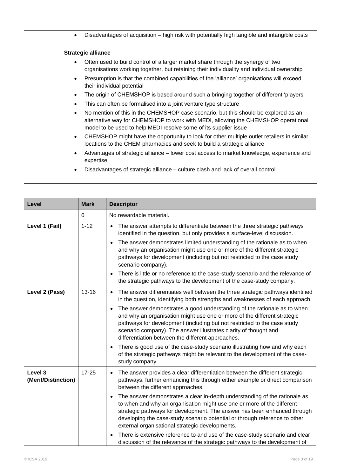| Disadvantages of acquisition – high risk with potentially high tangible and intangible costs<br>$\bullet$                                                                                                                                                 |
|-----------------------------------------------------------------------------------------------------------------------------------------------------------------------------------------------------------------------------------------------------------|
| <b>Strategic alliance</b>                                                                                                                                                                                                                                 |
| Often used to build control of a larger market share through the synergy of two<br>$\bullet$<br>organisations working together, but retaining their individuality and individual ownership                                                                |
| Presumption is that the combined capabilities of the 'alliance' organisations will exceed<br>$\bullet$<br>their individual potential                                                                                                                      |
| The origin of CHEMSHOP is based around such a bringing together of different 'players'<br>$\bullet$                                                                                                                                                       |
| This can often be formalised into a joint venture type structure<br>$\bullet$                                                                                                                                                                             |
| No mention of this in the CHEMSHOP case scenario, but this should be explored as an<br>$\bullet$<br>alternative way for CHEMSHOP to work with MEDI, allowing the CHEMSHOP operational<br>model to be used to help MEDI resolve some of its supplier issue |
| CHEMSHOP might have the opportunity to look for other multiple outlet retailers in similar<br>$\bullet$<br>locations to the CHEM pharmacies and seek to build a strategic alliance                                                                        |
| Advantages of strategic alliance – lower cost access to market knowledge, experience and<br>٠<br>expertise                                                                                                                                                |
| Disadvantages of strategic alliance – culture clash and lack of overall control<br>٠                                                                                                                                                                      |

| Level                          | <b>Mark</b> | <b>Descriptor</b>                                                                                                                                                                                                                                                                                                                                                              |
|--------------------------------|-------------|--------------------------------------------------------------------------------------------------------------------------------------------------------------------------------------------------------------------------------------------------------------------------------------------------------------------------------------------------------------------------------|
|                                | $\Omega$    | No rewardable material.                                                                                                                                                                                                                                                                                                                                                        |
| Level 1 (Fail)                 | $1 - 12$    | The answer attempts to differentiate between the three strategic pathways<br>$\bullet$<br>identified in the question, but only provides a surface-level discussion.                                                                                                                                                                                                            |
|                                |             | The answer demonstrates limited understanding of the rationale as to when<br>$\bullet$<br>and why an organisation might use one or more of the different strategic<br>pathways for development (including but not restricted to the case study<br>scenario company).                                                                                                           |
|                                |             | There is little or no reference to the case-study scenario and the relevance of<br>the strategic pathways to the development of the case-study company.                                                                                                                                                                                                                        |
| Level 2 (Pass)                 | $13 - 16$   | The answer differentiates well between the three strategic pathways identified<br>$\bullet$<br>in the question, identifying both strengths and weaknesses of each approach.                                                                                                                                                                                                    |
|                                |             | The answer demonstrates a good understanding of the rationale as to when<br>$\bullet$<br>and why an organisation might use one or more of the different strategic<br>pathways for development (including but not restricted to the case study<br>scenario company). The answer illustrates clarity of thought and<br>differentiation between the different approaches.         |
|                                |             | There is good use of the case-study scenario illustrating how and why each<br>of the strategic pathways might be relevant to the development of the case-<br>study company.                                                                                                                                                                                                    |
| Level 3<br>(Merit/Distinction) | $17 - 25$   | The answer provides a clear differentiation between the different strategic<br>$\bullet$<br>pathways, further enhancing this through either example or direct comparison<br>between the different approaches.                                                                                                                                                                  |
|                                |             | The answer demonstrates a clear in-depth understanding of the rationale as<br>$\bullet$<br>to when and why an organisation might use one or more of the different<br>strategic pathways for development. The answer has been enhanced through<br>developing the case-study scenario potential or through reference to other<br>external organisational strategic developments. |
|                                |             | There is extensive reference to and use of the case-study scenario and clear<br>discussion of the relevance of the strategic pathways to the development of                                                                                                                                                                                                                    |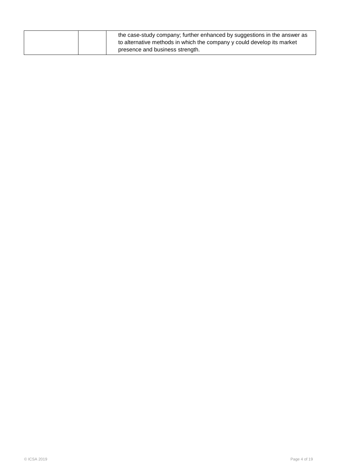| the case-study company; further enhanced by suggestions in the answer as<br>to alternative methods in which the company y could develop its market |
|----------------------------------------------------------------------------------------------------------------------------------------------------|
| presence and business strength.                                                                                                                    |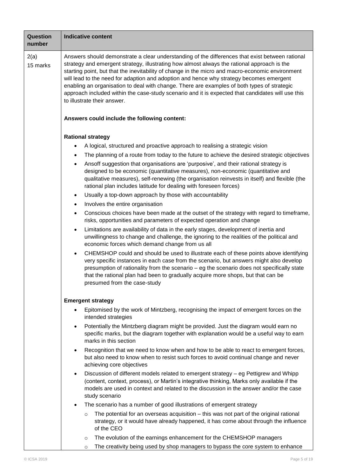| Question<br>number | <b>Indicative content</b>                                                                                                                                                                                                                                                                                                                                                                                                                                                                                                                                                                                                        |  |  |
|--------------------|----------------------------------------------------------------------------------------------------------------------------------------------------------------------------------------------------------------------------------------------------------------------------------------------------------------------------------------------------------------------------------------------------------------------------------------------------------------------------------------------------------------------------------------------------------------------------------------------------------------------------------|--|--|
| 2(a)<br>15 marks   | Answers should demonstrate a clear understanding of the differences that exist between rational<br>strategy and emergent strategy, illustrating how almost always the rational approach is the<br>starting point, but that the inevitability of change in the micro and macro-economic environment<br>will lead to the need for adaption and adoption and hence why strategy becomes emergent<br>enabling an organisation to deal with change. There are examples of both types of strategic<br>approach included within the case-study scenario and it is expected that candidates will use this<br>to illustrate their answer. |  |  |
|                    | Answers could include the following content:                                                                                                                                                                                                                                                                                                                                                                                                                                                                                                                                                                                     |  |  |
|                    | <b>Rational strategy</b>                                                                                                                                                                                                                                                                                                                                                                                                                                                                                                                                                                                                         |  |  |
|                    | A logical, structured and proactive approach to realising a strategic vision                                                                                                                                                                                                                                                                                                                                                                                                                                                                                                                                                     |  |  |
|                    | The planning of a route from today to the future to achieve the desired strategic objectives<br>٠                                                                                                                                                                                                                                                                                                                                                                                                                                                                                                                                |  |  |
|                    | Ansoff suggestion that organisations are 'purposive', and their rational strategy is<br>٠<br>designed to be economic (quantitative measures), non-economic (quantitative and<br>qualitative measures), self-renewing (the organisation reinvests in itself) and flexible (the<br>rational plan includes latitude for dealing with foreseen forces)                                                                                                                                                                                                                                                                               |  |  |
|                    | Usually a top-down approach by those with accountability<br>$\bullet$                                                                                                                                                                                                                                                                                                                                                                                                                                                                                                                                                            |  |  |
|                    | Involves the entire organisation<br>$\bullet$                                                                                                                                                                                                                                                                                                                                                                                                                                                                                                                                                                                    |  |  |
|                    | Conscious choices have been made at the outset of the strategy with regard to timeframe,<br>$\bullet$<br>risks, opportunities and parameters of expected operation and change                                                                                                                                                                                                                                                                                                                                                                                                                                                    |  |  |
|                    | Limitations are availability of data in the early stages, development of inertia and<br>$\bullet$<br>unwillingness to change and challenge, the ignoring to the realities of the political and<br>economic forces which demand change from us all                                                                                                                                                                                                                                                                                                                                                                                |  |  |
|                    | CHEMSHOP could and should be used to illustrate each of these points above identifying<br>very specific instances in each case from the scenario, but answers might also develop<br>presumption of rationality from the scenario - eg the scenario does not specifically state<br>that the rational plan had been to gradually acquire more shops, but that can be<br>presumed from the case-study                                                                                                                                                                                                                               |  |  |
|                    | <b>Emergent strategy</b>                                                                                                                                                                                                                                                                                                                                                                                                                                                                                                                                                                                                         |  |  |
|                    | Epitomised by the work of Mintzberg, recognising the impact of emergent forces on the<br>intended strategies                                                                                                                                                                                                                                                                                                                                                                                                                                                                                                                     |  |  |
|                    | Potentially the Mintzberg diagram might be provided. Just the diagram would earn no<br>$\bullet$<br>specific marks, but the diagram together with explanation would be a useful way to earn<br>marks in this section                                                                                                                                                                                                                                                                                                                                                                                                             |  |  |
|                    | Recognition that we need to know when and how to be able to react to emergent forces,<br>٠<br>but also need to know when to resist such forces to avoid continual change and never<br>achieving core objectives                                                                                                                                                                                                                                                                                                                                                                                                                  |  |  |
|                    | Discussion of different models related to emergent strategy – eg Pettigrew and Whipp<br>$\bullet$<br>(content, context, process), or Martin's integrative thinking, Marks only available if the<br>models are used in context and related to the discussion in the answer and/or the case<br>study scenario                                                                                                                                                                                                                                                                                                                      |  |  |
|                    | The scenario has a number of good illustrations of emergent strategy                                                                                                                                                                                                                                                                                                                                                                                                                                                                                                                                                             |  |  |
|                    | The potential for an overseas acquisition – this was not part of the original rational<br>$\circ$<br>strategy, or it would have already happened, it has come about through the influence<br>of the CEO                                                                                                                                                                                                                                                                                                                                                                                                                          |  |  |
|                    | The evolution of the earnings enhancement for the CHEMSHOP managers<br>$\circ$                                                                                                                                                                                                                                                                                                                                                                                                                                                                                                                                                   |  |  |
|                    | The creativity being used by shop managers to bypass the core system to enhance<br>$\circ$                                                                                                                                                                                                                                                                                                                                                                                                                                                                                                                                       |  |  |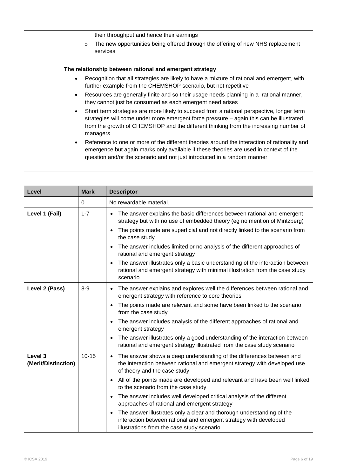| their throughput and hence their earnings                                                                                                                                                                                                                                                             |
|-------------------------------------------------------------------------------------------------------------------------------------------------------------------------------------------------------------------------------------------------------------------------------------------------------|
| The new opportunities being offered through the offering of new NHS replacement<br>$\circ$<br>services                                                                                                                                                                                                |
| The relationship between rational and emergent strategy                                                                                                                                                                                                                                               |
| Recognition that all strategies are likely to have a mixture of rational and emergent, with<br>$\bullet$<br>further example from the CHEMSHOP scenario, but not repetitive                                                                                                                            |
| Resources are generally finite and so their usage needs planning in a rational manner,<br>$\bullet$<br>they cannot just be consumed as each emergent need arises                                                                                                                                      |
| Short term strategies are more likely to succeed from a rational perspective, longer term<br>$\bullet$<br>strategies will come under more emergent force pressure – again this can be illustrated<br>from the growth of CHEMSHOP and the different thinking from the increasing number of<br>managers |
| Reference to one or more of the different theories around the interaction of rationality and<br>emergence but again marks only available if these theories are used in context of the<br>question and/or the scenario and not just introduced in a random manner                                      |

| Level                          | <b>Mark</b> | <b>Descriptor</b>                                                                                                                                                                              |
|--------------------------------|-------------|------------------------------------------------------------------------------------------------------------------------------------------------------------------------------------------------|
|                                | 0           | No rewardable material.                                                                                                                                                                        |
| Level 1 (Fail)                 | $1 - 7$     | The answer explains the basic differences between rational and emergent<br>$\bullet$<br>strategy but with no use of embedded theory (eg no mention of Mintzberg)                               |
|                                |             | The points made are superficial and not directly linked to the scenario from<br>$\bullet$<br>the case study                                                                                    |
|                                |             | The answer includes limited or no analysis of the different approaches of<br>rational and emergent strategy                                                                                    |
|                                |             | The answer illustrates only a basic understanding of the interaction between<br>rational and emergent strategy with minimal illustration from the case study<br>scenario                       |
| Level 2 (Pass)                 | $8 - 9$     | The answer explains and explores well the differences between rational and<br>$\bullet$<br>emergent strategy with reference to core theories                                                   |
|                                |             | The points made are relevant and some have been linked to the scenario<br>from the case study                                                                                                  |
|                                |             | The answer includes analysis of the different approaches of rational and<br>emergent strategy                                                                                                  |
|                                |             | The answer illustrates only a good understanding of the interaction between<br>rational and emergent strategy illustrated from the case study scenario                                         |
| Level 3<br>(Merit/Distinction) | $10 - 15$   | The answer shows a deep understanding of the differences between and<br>$\bullet$<br>the interaction between rational and emergent strategy with developed use<br>of theory and the case study |
|                                |             | All of the points made are developed and relevant and have been well linked<br>$\bullet$<br>to the scenario from the case study                                                                |
|                                |             | The answer includes well developed critical analysis of the different<br>approaches of rational and emergent strategy                                                                          |
|                                |             | The answer illustrates only a clear and thorough understanding of the<br>interaction between rational and emergent strategy with developed<br>illustrations from the case study scenario       |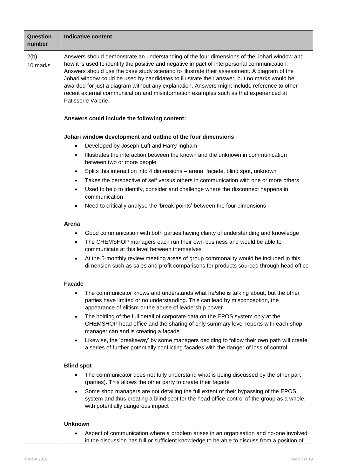| <b>Question</b><br>number | <b>Indicative content</b>                                                                                                                                                                                                                                                                                                                                                                                                                                                                                                                                                                                                                                                                                                                                                                                                                                                                                              |  |  |
|---------------------------|------------------------------------------------------------------------------------------------------------------------------------------------------------------------------------------------------------------------------------------------------------------------------------------------------------------------------------------------------------------------------------------------------------------------------------------------------------------------------------------------------------------------------------------------------------------------------------------------------------------------------------------------------------------------------------------------------------------------------------------------------------------------------------------------------------------------------------------------------------------------------------------------------------------------|--|--|
| 2(b)<br>10 marks          | Answers should demonstrate an understanding of the four dimensions of the Johari window and<br>how it is used to identify the positive and negative impact of interpersonal communication.<br>Answers should use the case study scenario to illustrate their assessment. A diagram of the<br>Johari window could be used by candidates to illustrate their answer, but no marks would be<br>awarded for just a diagram without any explanation. Answers might include reference to other<br>recent external communication and misinformation examples such as that experienced at<br>Patisserie Valerie.                                                                                                                                                                                                                                                                                                               |  |  |
|                           | Answers could include the following content:                                                                                                                                                                                                                                                                                                                                                                                                                                                                                                                                                                                                                                                                                                                                                                                                                                                                           |  |  |
|                           | Johari window development and outline of the four dimensions<br>Developed by Joseph Luft and Harry Ingham<br>$\bullet$<br>Illustrates the interaction between the known and the unknown in communication<br>$\bullet$<br>between two or more people<br>Splits this interaction into 4 dimensions - arena, façade, blind spot, unknown<br>$\bullet$<br>Takes the perspective of self versus others in communication with one or more others<br>$\bullet$<br>Used to help to identify, consider and challenge where the disconnect happens in<br>$\bullet$<br>communication<br>Need to critically analyse the 'break-points' between the four dimensions<br>$\bullet$<br>Arena<br>Good communication with both parties having clarity of understanding and knowledge<br>$\bullet$<br>The CHEMSHOP managers each run their own business and would be able to<br>$\bullet$<br>communicate at this level between themselves |  |  |
|                           | At the 6-monthly review meeting areas of group commonality would be included in this<br>$\bullet$<br>dimension such as sales and profit comparisons for products sourced through head office                                                                                                                                                                                                                                                                                                                                                                                                                                                                                                                                                                                                                                                                                                                           |  |  |
|                           | Facade<br>The communicator knows and understands what he/she is talking about, but the other<br>$\bullet$<br>parties have limited or no understanding. This can lead by misconception, the<br>appearance of elitism or the abuse of leadership power<br>The holding of the full detail of corporate data on the EPOS system only at the<br>$\bullet$<br>CHEMSHOP head office and the sharing of only summary level reports with each shop<br>manager can and is creating a façade<br>Likewise, the 'breakaway' by some managers deciding to follow their own path will create<br>$\bullet$<br>a series of further potentially conflicting facades with the danger of loss of control                                                                                                                                                                                                                                   |  |  |
|                           | <b>Blind spot</b><br>The communicator does not fully understand what is being discussed by the other part<br>(parties). This allows the other party to create their façade<br>Some shop managers are not detailing the full extent of their bypassing of the EPOS<br>$\bullet$<br>system and thus creating a blind spot for the head office control of the group as a whole,<br>with potentially dangerous impact                                                                                                                                                                                                                                                                                                                                                                                                                                                                                                      |  |  |
|                           | <b>Unknown</b><br>Aspect of communication where a problem arises in an organisation and no-one involved<br>in the discussion has full or sufficient knowledge to be able to discuss from a position of                                                                                                                                                                                                                                                                                                                                                                                                                                                                                                                                                                                                                                                                                                                 |  |  |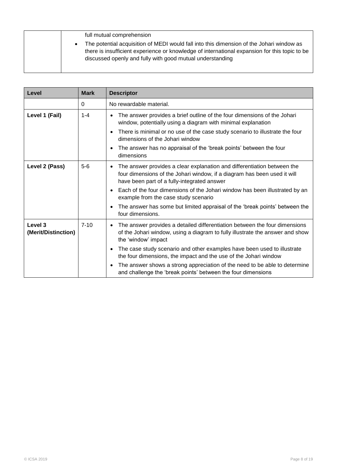| full mutual comprehension                                                                                                                                                                                                                              |
|--------------------------------------------------------------------------------------------------------------------------------------------------------------------------------------------------------------------------------------------------------|
| The potential acquisition of MEDI would fall into this dimension of the Johari window as<br>there is insufficient experience or knowledge of international expansion for this topic to be<br>discussed openly and fully with good mutual understanding |

| Level                          | <b>Mark</b> | <b>Descriptor</b>                                                                                                                                                                                               |
|--------------------------------|-------------|-----------------------------------------------------------------------------------------------------------------------------------------------------------------------------------------------------------------|
|                                | 0           | No rewardable material.                                                                                                                                                                                         |
| Level 1 (Fail)                 | $1 - 4$     | The answer provides a brief outline of the four dimensions of the Johari<br>$\bullet$<br>window, potentially using a diagram with minimal explanation                                                           |
|                                |             | There is minimal or no use of the case study scenario to illustrate the four<br>$\bullet$<br>dimensions of the Johari window                                                                                    |
|                                |             | The answer has no appraisal of the 'break points' between the four<br>$\bullet$<br>dimensions                                                                                                                   |
| Level 2 (Pass)                 | $5-6$       | The answer provides a clear explanation and differentiation between the<br>$\bullet$<br>four dimensions of the Johari window, if a diagram has been used it will<br>have been part of a fully-integrated answer |
|                                |             | Each of the four dimensions of the Johari window has been illustrated by an<br>$\bullet$<br>example from the case study scenario                                                                                |
|                                |             | The answer has some but limited appraisal of the 'break points' between the<br>$\bullet$<br>four dimensions.                                                                                                    |
| Level 3<br>(Merit/Distinction) | $7 - 10$    | The answer provides a detailed differentiation between the four dimensions<br>$\bullet$<br>of the Johari window, using a diagram to fully illustrate the answer and show<br>the 'window' impact                 |
|                                |             | The case study scenario and other examples have been used to illustrate<br>$\bullet$<br>the four dimensions, the impact and the use of the Johari window                                                        |
|                                |             | The answer shows a strong appreciation of the need to be able to determine<br>$\bullet$<br>and challenge the 'break points' between the four dimensions                                                         |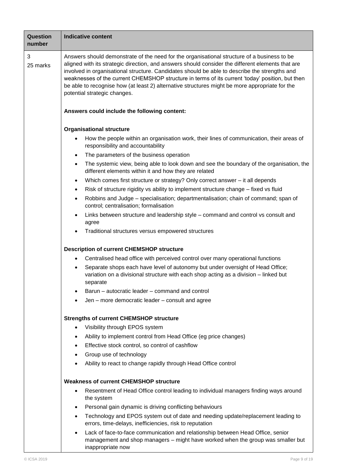| <b>Question</b><br>number | <b>Indicative content</b>                                                                                                                                                                                                                                                                                                                                                                                                                                                                                                              |  |  |
|---------------------------|----------------------------------------------------------------------------------------------------------------------------------------------------------------------------------------------------------------------------------------------------------------------------------------------------------------------------------------------------------------------------------------------------------------------------------------------------------------------------------------------------------------------------------------|--|--|
| 3<br>25 marks             | Answers should demonstrate of the need for the organisational structure of a business to be<br>aligned with its strategic direction, and answers should consider the different elements that are<br>involved in organisational structure. Candidates should be able to describe the strengths and<br>weaknesses of the current CHEMSHOP structure in terms of its current 'today' position, but then<br>be able to recognise how (at least 2) alternative structures might be more appropriate for the<br>potential strategic changes. |  |  |
|                           | Answers could include the following content:                                                                                                                                                                                                                                                                                                                                                                                                                                                                                           |  |  |
|                           | <b>Organisational structure</b>                                                                                                                                                                                                                                                                                                                                                                                                                                                                                                        |  |  |
|                           | How the people within an organisation work, their lines of communication, their areas of<br>$\bullet$<br>responsibility and accountability                                                                                                                                                                                                                                                                                                                                                                                             |  |  |
|                           | The parameters of the business operation<br>٠                                                                                                                                                                                                                                                                                                                                                                                                                                                                                          |  |  |
|                           | The systemic view, being able to look down and see the boundary of the organisation, the<br>$\bullet$<br>different elements within it and how they are related                                                                                                                                                                                                                                                                                                                                                                         |  |  |
|                           | Which comes first structure or strategy? Only correct answer – it all depends<br>٠                                                                                                                                                                                                                                                                                                                                                                                                                                                     |  |  |
|                           | Risk of structure rigidity vs ability to implement structure change – fixed vs fluid<br>٠                                                                                                                                                                                                                                                                                                                                                                                                                                              |  |  |
|                           | Robbins and Judge - specialisation; departmentalisation; chain of command; span of<br>٠<br>control; centralisation; formalisation                                                                                                                                                                                                                                                                                                                                                                                                      |  |  |
|                           | Links between structure and leadership style – command and control vs consult and<br>$\bullet$<br>agree                                                                                                                                                                                                                                                                                                                                                                                                                                |  |  |
|                           | Traditional structures versus empowered structures                                                                                                                                                                                                                                                                                                                                                                                                                                                                                     |  |  |
|                           | <b>Description of current CHEMSHOP structure</b>                                                                                                                                                                                                                                                                                                                                                                                                                                                                                       |  |  |
|                           | Centralised head office with perceived control over many operational functions<br>$\bullet$                                                                                                                                                                                                                                                                                                                                                                                                                                            |  |  |
|                           | Separate shops each have level of autonomy but under oversight of Head Office;<br>$\bullet$<br>variation on a divisional structure with each shop acting as a division - linked but<br>separate                                                                                                                                                                                                                                                                                                                                        |  |  |
|                           | Barun – autocratic leader – command and control                                                                                                                                                                                                                                                                                                                                                                                                                                                                                        |  |  |
|                           | Jen – more democratic leader – consult and agree<br>$\bullet$                                                                                                                                                                                                                                                                                                                                                                                                                                                                          |  |  |
|                           | <b>Strengths of current CHEMSHOP structure</b>                                                                                                                                                                                                                                                                                                                                                                                                                                                                                         |  |  |
|                           | Visibility through EPOS system<br>$\bullet$                                                                                                                                                                                                                                                                                                                                                                                                                                                                                            |  |  |
|                           | Ability to implement control from Head Office (eg price changes)<br>٠                                                                                                                                                                                                                                                                                                                                                                                                                                                                  |  |  |
|                           | Effective stock control, so control of cashflow<br>$\bullet$                                                                                                                                                                                                                                                                                                                                                                                                                                                                           |  |  |
|                           | Group use of technology<br>٠                                                                                                                                                                                                                                                                                                                                                                                                                                                                                                           |  |  |
|                           | Ability to react to change rapidly through Head Office control                                                                                                                                                                                                                                                                                                                                                                                                                                                                         |  |  |
|                           | <b>Weakness of current CHEMSHOP structure</b>                                                                                                                                                                                                                                                                                                                                                                                                                                                                                          |  |  |
|                           | Resentment of Head Office control leading to individual managers finding ways around<br>$\bullet$<br>the system                                                                                                                                                                                                                                                                                                                                                                                                                        |  |  |
|                           | Personal gain dynamic is driving conflicting behaviours<br>٠                                                                                                                                                                                                                                                                                                                                                                                                                                                                           |  |  |
|                           | Technology and EPOS system out of date and needing update/replacement leading to<br>٠<br>errors, time-delays, inefficiencies, risk to reputation                                                                                                                                                                                                                                                                                                                                                                                       |  |  |
|                           | Lack of face-to-face communication and relationship between Head Office, senior<br>$\bullet$<br>management and shop managers - might have worked when the group was smaller but<br>inappropriate now                                                                                                                                                                                                                                                                                                                                   |  |  |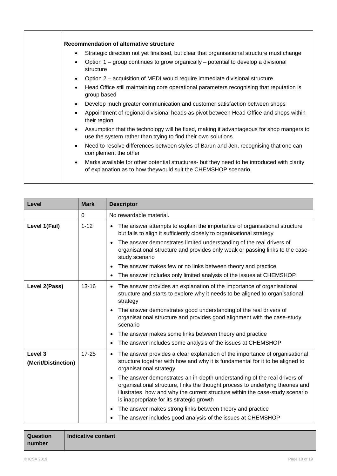|           | Recommendation of alternative structure                                                                                                                      |
|-----------|--------------------------------------------------------------------------------------------------------------------------------------------------------------|
| ٠         | Strategic direction not yet finalised, but clear that organisational structure must change                                                                   |
| $\bullet$ | Option 1 – group continues to grow organically – potential to develop a divisional<br>structure                                                              |
| $\bullet$ | Option 2 – acquisition of MEDI would require immediate divisional structure                                                                                  |
| $\bullet$ | Head Office still maintaining core operational parameters recognising that reputation is<br>group based                                                      |
| $\bullet$ | Develop much greater communication and customer satisfaction between shops                                                                                   |
| $\bullet$ | Appointment of regional divisional heads as pivot between Head Office and shops within<br>their region                                                       |
| $\bullet$ | Assumption that the technology will be fixed, making it advantageous for shop mangers to<br>use the system rather than trying to find their own solutions    |
| $\bullet$ | Need to resolve differences between styles of Barun and Jen, recognising that one can<br>complement the other                                                |
| $\bullet$ | Marks available for other potential structures- but they need to be introduced with clarity<br>of explanation as to how theywould suit the CHEMSHOP scenario |
|           |                                                                                                                                                              |

| Level                          | <b>Mark</b> | <b>Descriptor</b>                                                                                                                                                                                                                                                                                    |  |  |
|--------------------------------|-------------|------------------------------------------------------------------------------------------------------------------------------------------------------------------------------------------------------------------------------------------------------------------------------------------------------|--|--|
|                                | 0           | No rewardable material.                                                                                                                                                                                                                                                                              |  |  |
| Level 1(Fail)                  | $1 - 12$    | The answer attempts to explain the importance of organisational structure<br>but fails to align it sufficiently closely to organisational strategy                                                                                                                                                   |  |  |
|                                |             | The answer demonstrates limited understanding of the real drivers of<br>organisational structure and provides only weak or passing links to the case-<br>study scenario                                                                                                                              |  |  |
|                                |             | The answer makes few or no links between theory and practice<br>$\bullet$                                                                                                                                                                                                                            |  |  |
|                                |             | The answer includes only limited analysis of the issues at CHEMSHOP<br>$\bullet$                                                                                                                                                                                                                     |  |  |
| Level 2(Pass)<br>$13 - 16$     |             | The answer provides an explanation of the importance of organisational<br>$\bullet$<br>structure and starts to explore why it needs to be aligned to organisational<br>strategy                                                                                                                      |  |  |
|                                |             | The answer demonstrates good understanding of the real drivers of<br>organisational structure and provides good alignment with the case-study<br>scenario                                                                                                                                            |  |  |
|                                |             | The answer makes some links between theory and practice                                                                                                                                                                                                                                              |  |  |
|                                |             | The answer includes some analysis of the issues at CHEMSHOP                                                                                                                                                                                                                                          |  |  |
| Level 3<br>(Merit/Distinction) | $17 - 25$   | The answer provides a clear explanation of the importance of organisational<br>$\bullet$<br>structure together with how and why it is fundamental for it to be aligned to<br>organisational strategy                                                                                                 |  |  |
|                                |             | The answer demonstrates an in-depth understanding of the real drivers of<br>$\bullet$<br>organisational structure, links the thought process to underlying theories and<br>illustrates how and why the current structure within the case-study scenario<br>is inappropriate for its strategic growth |  |  |
|                                |             | The answer makes strong links between theory and practice<br>٠                                                                                                                                                                                                                                       |  |  |
|                                |             | The answer includes good analysis of the issues at CHEMSHOP                                                                                                                                                                                                                                          |  |  |

| Question | Indicative content |
|----------|--------------------|
| number   |                    |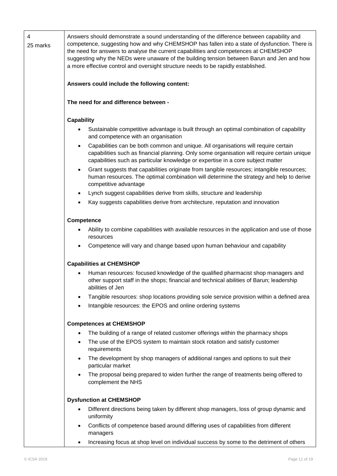| 4<br>25 marks | Answers should demonstrate a sound understanding of the difference between capability and<br>competence, suggesting how and why CHEMSHOP has fallen into a state of dysfunction. There is<br>the need for answers to analyse the current capabilities and competences at CHEMSHOP<br>suggesting why the NEDs were unaware of the building tension between Barun and Jen and how<br>a more effective control and oversight structure needs to be rapidly established. |  |  |  |  |  |  |
|---------------|----------------------------------------------------------------------------------------------------------------------------------------------------------------------------------------------------------------------------------------------------------------------------------------------------------------------------------------------------------------------------------------------------------------------------------------------------------------------|--|--|--|--|--|--|
|               | Answers could include the following content:                                                                                                                                                                                                                                                                                                                                                                                                                         |  |  |  |  |  |  |
|               | The need for and difference between -                                                                                                                                                                                                                                                                                                                                                                                                                                |  |  |  |  |  |  |
|               | <b>Capability</b>                                                                                                                                                                                                                                                                                                                                                                                                                                                    |  |  |  |  |  |  |
|               | Sustainable competitive advantage is built through an optimal combination of capability<br>and competence with an organisation                                                                                                                                                                                                                                                                                                                                       |  |  |  |  |  |  |
|               | Capabilities can be both common and unique. All organisations will require certain<br>$\bullet$<br>capabilities such as financial planning. Only some organisation will require certain unique<br>capabilities such as particular knowledge or expertise in a core subject matter                                                                                                                                                                                    |  |  |  |  |  |  |
|               | Grant suggests that capabilities originate from tangible resources; intangible resources;<br>$\bullet$<br>human resources. The optimal combination will determine the strategy and help to derive<br>competitive advantage                                                                                                                                                                                                                                           |  |  |  |  |  |  |
|               | Lynch suggest capabilities derive from skills, structure and leadership<br>$\bullet$                                                                                                                                                                                                                                                                                                                                                                                 |  |  |  |  |  |  |
|               | Kay suggests capabilities derive from architecture, reputation and innovation<br>٠                                                                                                                                                                                                                                                                                                                                                                                   |  |  |  |  |  |  |
|               | <b>Competence</b>                                                                                                                                                                                                                                                                                                                                                                                                                                                    |  |  |  |  |  |  |
|               | Ability to combine capabilities with available resources in the application and use of those<br>resources                                                                                                                                                                                                                                                                                                                                                            |  |  |  |  |  |  |
|               | Competence will vary and change based upon human behaviour and capability                                                                                                                                                                                                                                                                                                                                                                                            |  |  |  |  |  |  |
|               | <b>Capabilities at CHEMSHOP</b>                                                                                                                                                                                                                                                                                                                                                                                                                                      |  |  |  |  |  |  |
|               | Human resources: focused knowledge of the qualified pharmacist shop managers and<br>other support staff in the shops; financial and technical abilities of Barun; leadership<br>abilities of Jen                                                                                                                                                                                                                                                                     |  |  |  |  |  |  |
|               | Tangible resources: shop locations providing sole service provision within a defined area                                                                                                                                                                                                                                                                                                                                                                            |  |  |  |  |  |  |
|               | Intangible resources: the EPOS and online ordering systems                                                                                                                                                                                                                                                                                                                                                                                                           |  |  |  |  |  |  |
|               | <b>Competences at CHEMSHOP</b>                                                                                                                                                                                                                                                                                                                                                                                                                                       |  |  |  |  |  |  |
|               | The building of a range of related customer offerings within the pharmacy shops<br>$\bullet$                                                                                                                                                                                                                                                                                                                                                                         |  |  |  |  |  |  |
|               | The use of the EPOS system to maintain stock rotation and satisfy customer<br>$\bullet$<br>requirements                                                                                                                                                                                                                                                                                                                                                              |  |  |  |  |  |  |
|               | The development by shop managers of additional ranges and options to suit their<br>particular market                                                                                                                                                                                                                                                                                                                                                                 |  |  |  |  |  |  |
|               | The proposal being prepared to widen further the range of treatments being offered to<br>$\bullet$<br>complement the NHS                                                                                                                                                                                                                                                                                                                                             |  |  |  |  |  |  |
|               | <b>Dysfunction at CHEMSHOP</b>                                                                                                                                                                                                                                                                                                                                                                                                                                       |  |  |  |  |  |  |
|               | Different directions being taken by different shop managers, loss of group dynamic and<br>٠<br>uniformity                                                                                                                                                                                                                                                                                                                                                            |  |  |  |  |  |  |
|               | Conflicts of competence based around differing uses of capabilities from different<br>٠<br>managers                                                                                                                                                                                                                                                                                                                                                                  |  |  |  |  |  |  |
|               | Increasing focus at shop level on individual success by some to the detriment of others                                                                                                                                                                                                                                                                                                                                                                              |  |  |  |  |  |  |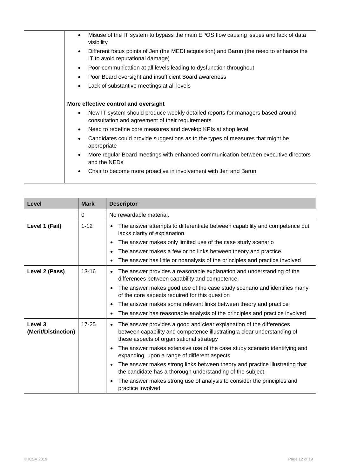| Misuse of the IT system to bypass the main EPOS flow causing issues and lack of data<br>$\bullet$<br>visibility                                 |
|-------------------------------------------------------------------------------------------------------------------------------------------------|
| Different focus points of Jen (the MEDI acquisition) and Barun (the need to enhance the<br>$\bullet$<br>IT to avoid reputational damage)        |
| Poor communication at all levels leading to dysfunction throughout<br>$\bullet$                                                                 |
| Poor Board oversight and insufficient Board awareness<br>$\bullet$                                                                              |
| Lack of substantive meetings at all levels<br>٠                                                                                                 |
| More effective control and oversight                                                                                                            |
| New IT system should produce weekly detailed reports for managers based around<br>$\bullet$<br>consultation and agreement of their requirements |
| Need to redefine core measures and develop KPIs at shop level<br>$\bullet$                                                                      |
| Candidates could provide suggestions as to the types of measures that might be<br>$\bullet$<br>appropriate                                      |
| More regular Board meetings with enhanced communication between executive directors<br>$\bullet$<br>and the NEDs                                |
| Chair to become more proactive in involvement with Jen and Barun<br>٠                                                                           |
|                                                                                                                                                 |

| Level                          | <b>Mark</b> | <b>Descriptor</b>                                                                                                                                                                                                                                                                                                                                                                 |  |  |  |
|--------------------------------|-------------|-----------------------------------------------------------------------------------------------------------------------------------------------------------------------------------------------------------------------------------------------------------------------------------------------------------------------------------------------------------------------------------|--|--|--|
|                                | $\Omega$    | No rewardable material.                                                                                                                                                                                                                                                                                                                                                           |  |  |  |
| Level 1 (Fail)                 | $1 - 12$    | The answer attempts to differentiate between capability and competence but<br>$\bullet$<br>lacks clarity of explanation.<br>The answer makes only limited use of the case study scenario<br>$\bullet$<br>The answer makes a few or no links between theory and practice.<br>$\bullet$<br>The answer has little or noanalysis of the principles and practice involved<br>$\bullet$ |  |  |  |
| Level 2 (Pass)                 | $13 - 16$   | The answer provides a reasonable explanation and understanding of the<br>$\bullet$<br>differences between capability and competence.<br>The answer makes good use of the case study scenario and identifies many<br>$\bullet$<br>of the core aspects required for this question                                                                                                   |  |  |  |
|                                |             | The answer makes some relevant links between theory and practice<br>$\bullet$                                                                                                                                                                                                                                                                                                     |  |  |  |
|                                |             | The answer has reasonable analysis of the principles and practice involved<br>$\bullet$                                                                                                                                                                                                                                                                                           |  |  |  |
| Level 3<br>(Merit/Distinction) | $17 - 25$   | The answer provides a good and clear explanation of the differences<br>$\bullet$<br>between capability and competence illustrating a clear understanding of<br>these aspects of organisational strategy                                                                                                                                                                           |  |  |  |
|                                |             | The answer makes extensive use of the case study scenario identifying and<br>$\bullet$<br>expanding upon a range of different aspects                                                                                                                                                                                                                                             |  |  |  |
|                                |             | The answer makes strong links between theory and practice illustrating that<br>$\bullet$<br>the candidate has a thorough understanding of the subject.                                                                                                                                                                                                                            |  |  |  |
|                                |             | The answer makes strong use of analysis to consider the principles and<br>$\bullet$<br>practice involved                                                                                                                                                                                                                                                                          |  |  |  |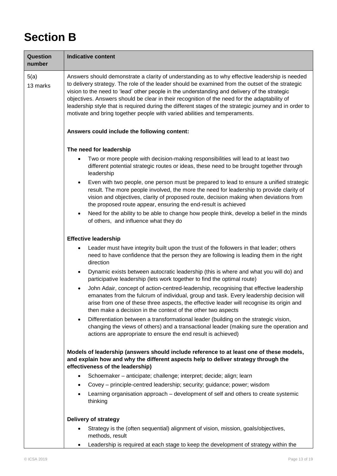## **Section B**

| Question<br>number | <b>Indicative content</b>                                                                                                                                                                                                                                                                                                                                                                                                                                                                                                                                                                  |  |  |  |  |  |
|--------------------|--------------------------------------------------------------------------------------------------------------------------------------------------------------------------------------------------------------------------------------------------------------------------------------------------------------------------------------------------------------------------------------------------------------------------------------------------------------------------------------------------------------------------------------------------------------------------------------------|--|--|--|--|--|
| 5(a)<br>13 marks   | Answers should demonstrate a clarity of understanding as to why effective leadership is needed<br>to delivery strategy. The role of the leader should be examined from the outset of the strategic<br>vision to the need to 'lead' other people in the understanding and delivery of the strategic<br>objectives. Answers should be clear in their recognition of the need for the adaptability of<br>leadership style that is required during the different stages of the strategic journey and in order to<br>motivate and bring together people with varied abilities and temperaments. |  |  |  |  |  |
|                    | Answers could include the following content:                                                                                                                                                                                                                                                                                                                                                                                                                                                                                                                                               |  |  |  |  |  |
|                    | The need for leadership                                                                                                                                                                                                                                                                                                                                                                                                                                                                                                                                                                    |  |  |  |  |  |
|                    | Two or more people with decision-making responsibilities will lead to at least two<br>٠<br>different potential strategic routes or ideas, these need to be brought together through<br>leadership                                                                                                                                                                                                                                                                                                                                                                                          |  |  |  |  |  |
|                    | Even with two people, one person must be prepared to lead to ensure a unified strategic<br>$\bullet$<br>result. The more people involved, the more the need for leadership to provide clarity of<br>vision and objectives, clarity of proposed route, decision making when deviations from<br>the proposed route appear, ensuring the end-result is achieved                                                                                                                                                                                                                               |  |  |  |  |  |
|                    | Need for the ability to be able to change how people think, develop a belief in the minds<br>$\bullet$<br>of others, and influence what they do                                                                                                                                                                                                                                                                                                                                                                                                                                            |  |  |  |  |  |
|                    | <b>Effective leadership</b>                                                                                                                                                                                                                                                                                                                                                                                                                                                                                                                                                                |  |  |  |  |  |
|                    | Leader must have integrity built upon the trust of the followers in that leader; others<br>$\bullet$<br>need to have confidence that the person they are following is leading them in the right<br>direction                                                                                                                                                                                                                                                                                                                                                                               |  |  |  |  |  |
|                    | Dynamic exists between autocratic leadership (this is where and what you will do) and<br>$\bullet$<br>participative leadership (lets work together to find the optimal route)                                                                                                                                                                                                                                                                                                                                                                                                              |  |  |  |  |  |
|                    | John Adair, concept of action-centred-leadership, recognising that effective leadership<br>$\bullet$<br>emanates from the fulcrum of individual, group and task. Every leadership decision will<br>arise from one of these three aspects, the effective leader will recognise its origin and<br>then make a decision in the context of the other two aspects                                                                                                                                                                                                                               |  |  |  |  |  |
|                    | Differentiation between a transformational leader (building on the strategic vision,<br>$\bullet$<br>changing the views of others) and a transactional leader (making sure the operation and<br>actions are appropriate to ensure the end result is achieved)                                                                                                                                                                                                                                                                                                                              |  |  |  |  |  |
|                    | Models of leadership (answers should include reference to at least one of these models,<br>and explain how and why the different aspects help to deliver strategy through the<br>effectiveness of the leadership)                                                                                                                                                                                                                                                                                                                                                                          |  |  |  |  |  |
|                    | Schoemaker - anticipate; challenge; interpret; decide; align; learn<br>$\bullet$                                                                                                                                                                                                                                                                                                                                                                                                                                                                                                           |  |  |  |  |  |
|                    | Covey - principle-centred leadership; security; guidance; power; wisdom<br>$\bullet$                                                                                                                                                                                                                                                                                                                                                                                                                                                                                                       |  |  |  |  |  |
|                    | Learning organisation approach – development of self and others to create systemic<br>$\bullet$<br>thinking                                                                                                                                                                                                                                                                                                                                                                                                                                                                                |  |  |  |  |  |
|                    | <b>Delivery of strategy</b>                                                                                                                                                                                                                                                                                                                                                                                                                                                                                                                                                                |  |  |  |  |  |
|                    | Strategy is the (often sequential) alignment of vision, mission, goals/objectives,<br>methods, result                                                                                                                                                                                                                                                                                                                                                                                                                                                                                      |  |  |  |  |  |
|                    | Leadership is required at each stage to keep the development of strategy within the<br>$\bullet$                                                                                                                                                                                                                                                                                                                                                                                                                                                                                           |  |  |  |  |  |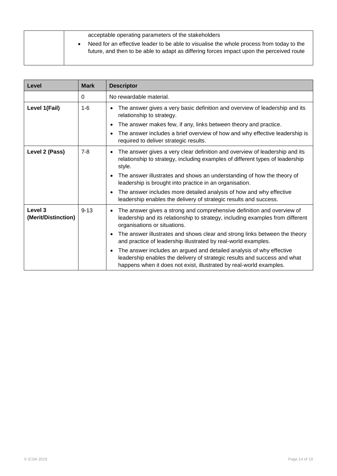| acceptable operating parameters of the stakeholders                                                                                                                                  |
|--------------------------------------------------------------------------------------------------------------------------------------------------------------------------------------|
| Need for an effective leader to be able to visualise the whole process from today to the<br>future, and then to be able to adapt as differing forces impact upon the perceived route |

| Level                                     | <b>Mark</b> | <b>Descriptor</b>                                                                                                                                                                                                                                                                                                                                                                                                                                                                              |  |
|-------------------------------------------|-------------|------------------------------------------------------------------------------------------------------------------------------------------------------------------------------------------------------------------------------------------------------------------------------------------------------------------------------------------------------------------------------------------------------------------------------------------------------------------------------------------------|--|
|                                           | 0           | No rewardable material.                                                                                                                                                                                                                                                                                                                                                                                                                                                                        |  |
| Level 1(Fail)                             | $1 - 6$     | The answer gives a very basic definition and overview of leadership and its<br>$\bullet$<br>relationship to strategy.<br>The answer makes few, if any, links between theory and practice.<br>$\bullet$<br>The answer includes a brief overview of how and why effective leadership is<br>$\bullet$<br>required to deliver strategic results.                                                                                                                                                   |  |
| Level 2 (Pass)                            | $7 - 8$     | The answer gives a very clear definition and overview of leadership and its<br>$\bullet$<br>relationship to strategy, including examples of different types of leadership<br>style.<br>The answer illustrates and shows an understanding of how the theory of<br>$\bullet$<br>leadership is brought into practice in an organisation.<br>The answer includes more detailed analysis of how and why effective<br>$\bullet$<br>leadership enables the delivery of strategic results and success. |  |
| Level <sub>3</sub><br>(Merit/Distinction) | $9 - 13$    | The answer gives a strong and comprehensive definition and overview of<br>$\bullet$<br>leadership and its relationship to strategy, including examples from different<br>organisations or situations.<br>The answer illustrates and shows clear and strong links between the theory<br>$\bullet$<br>and practice of leadership illustrated by real-world examples.                                                                                                                             |  |
|                                           |             | The answer includes an argued and detailed analysis of why effective<br>$\bullet$<br>leadership enables the delivery of strategic results and success and what<br>happens when it does not exist, illustrated by real-world examples.                                                                                                                                                                                                                                                          |  |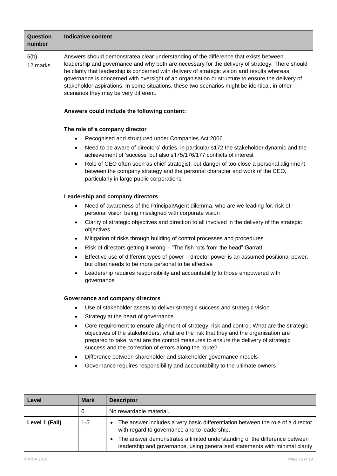| Question<br>number | <b>Indicative content</b>                                                                                                                                                                                                                                                                                                                                                                                                                                                                                                                                                                                                                                                                                                                                                                                                                                                                                                                                                                                                                                                                                                                                                                                                                                                                                                                                                                                                                                                                        |  |  |  |  |  |
|--------------------|--------------------------------------------------------------------------------------------------------------------------------------------------------------------------------------------------------------------------------------------------------------------------------------------------------------------------------------------------------------------------------------------------------------------------------------------------------------------------------------------------------------------------------------------------------------------------------------------------------------------------------------------------------------------------------------------------------------------------------------------------------------------------------------------------------------------------------------------------------------------------------------------------------------------------------------------------------------------------------------------------------------------------------------------------------------------------------------------------------------------------------------------------------------------------------------------------------------------------------------------------------------------------------------------------------------------------------------------------------------------------------------------------------------------------------------------------------------------------------------------------|--|--|--|--|--|
| 5(b)<br>12 marks   | Answers should demonstratea clear understanding of the difference that exists between<br>leadership and governance and why both are necessary for the delivery of strategy. There should<br>be clarity that leadership is concerned with delivery of strategic vision and results whereas<br>governance is concerned with oversight of an organisation or structure to ensure the delivery of<br>stakeholder aspirations. In some situations, these two scenarios might be identical, in other<br>scenarios they may be very different.<br>Answers could include the following content:<br>The role of a company director<br>Recognised and structured under Companies Act 2006<br>٠<br>$\bullet$<br>achievement of 'success' but also s175/176/177 conflicts of interest<br>$\bullet$<br>between the company strategy and the personal character and work of the CEO,<br>particularly in large public corporations<br>Leadership and company directors<br>Need of awareness of the Principal/Agent dilemma, who are we leading for, risk of<br>٠<br>personal vision being misaligned with corporate vision<br>Clarity of strategic objectives and direction to all involved in the delivery of the strategic<br>$\bullet$<br>objectives<br>Mitigation of risks through building of control processes and procedures<br>$\bullet$<br>Risk of directors getting it wrong – "The fish rots from the head" Garratt<br>$\bullet$<br>$\bullet$<br>but often needs to be more personal to be effective |  |  |  |  |  |
|                    |                                                                                                                                                                                                                                                                                                                                                                                                                                                                                                                                                                                                                                                                                                                                                                                                                                                                                                                                                                                                                                                                                                                                                                                                                                                                                                                                                                                                                                                                                                  |  |  |  |  |  |
|                    |                                                                                                                                                                                                                                                                                                                                                                                                                                                                                                                                                                                                                                                                                                                                                                                                                                                                                                                                                                                                                                                                                                                                                                                                                                                                                                                                                                                                                                                                                                  |  |  |  |  |  |
|                    |                                                                                                                                                                                                                                                                                                                                                                                                                                                                                                                                                                                                                                                                                                                                                                                                                                                                                                                                                                                                                                                                                                                                                                                                                                                                                                                                                                                                                                                                                                  |  |  |  |  |  |
|                    | Need to be aware of directors' duties, in particular s172 the stakeholder dynamic and the                                                                                                                                                                                                                                                                                                                                                                                                                                                                                                                                                                                                                                                                                                                                                                                                                                                                                                                                                                                                                                                                                                                                                                                                                                                                                                                                                                                                        |  |  |  |  |  |
|                    | Role of CEO often seen as chief strategist, but danger of too close a personal alignment                                                                                                                                                                                                                                                                                                                                                                                                                                                                                                                                                                                                                                                                                                                                                                                                                                                                                                                                                                                                                                                                                                                                                                                                                                                                                                                                                                                                         |  |  |  |  |  |
|                    |                                                                                                                                                                                                                                                                                                                                                                                                                                                                                                                                                                                                                                                                                                                                                                                                                                                                                                                                                                                                                                                                                                                                                                                                                                                                                                                                                                                                                                                                                                  |  |  |  |  |  |
|                    |                                                                                                                                                                                                                                                                                                                                                                                                                                                                                                                                                                                                                                                                                                                                                                                                                                                                                                                                                                                                                                                                                                                                                                                                                                                                                                                                                                                                                                                                                                  |  |  |  |  |  |
|                    |                                                                                                                                                                                                                                                                                                                                                                                                                                                                                                                                                                                                                                                                                                                                                                                                                                                                                                                                                                                                                                                                                                                                                                                                                                                                                                                                                                                                                                                                                                  |  |  |  |  |  |
|                    |                                                                                                                                                                                                                                                                                                                                                                                                                                                                                                                                                                                                                                                                                                                                                                                                                                                                                                                                                                                                                                                                                                                                                                                                                                                                                                                                                                                                                                                                                                  |  |  |  |  |  |
|                    |                                                                                                                                                                                                                                                                                                                                                                                                                                                                                                                                                                                                                                                                                                                                                                                                                                                                                                                                                                                                                                                                                                                                                                                                                                                                                                                                                                                                                                                                                                  |  |  |  |  |  |
|                    | Effective use of different types of power – director power is an assumed positional power,                                                                                                                                                                                                                                                                                                                                                                                                                                                                                                                                                                                                                                                                                                                                                                                                                                                                                                                                                                                                                                                                                                                                                                                                                                                                                                                                                                                                       |  |  |  |  |  |
|                    | Leadership requires responsibility and accountability to those empowered with<br>٠<br>qovernance                                                                                                                                                                                                                                                                                                                                                                                                                                                                                                                                                                                                                                                                                                                                                                                                                                                                                                                                                                                                                                                                                                                                                                                                                                                                                                                                                                                                 |  |  |  |  |  |
|                    | Governance and company directors                                                                                                                                                                                                                                                                                                                                                                                                                                                                                                                                                                                                                                                                                                                                                                                                                                                                                                                                                                                                                                                                                                                                                                                                                                                                                                                                                                                                                                                                 |  |  |  |  |  |
|                    | Use of stakeholder assets to deliver strategic success and strategic vision<br>٠                                                                                                                                                                                                                                                                                                                                                                                                                                                                                                                                                                                                                                                                                                                                                                                                                                                                                                                                                                                                                                                                                                                                                                                                                                                                                                                                                                                                                 |  |  |  |  |  |
|                    | Strategy at the heart of governance                                                                                                                                                                                                                                                                                                                                                                                                                                                                                                                                                                                                                                                                                                                                                                                                                                                                                                                                                                                                                                                                                                                                                                                                                                                                                                                                                                                                                                                              |  |  |  |  |  |
|                    | Core requirement to ensure alignment of strategy, risk and control. What are the strategic<br>٠<br>objectives of the stakeholders, what are the risk that they and the organisation are<br>prepared to take, what are the control measures to ensure the delivery of strategic<br>success and the correction of errors along the route?                                                                                                                                                                                                                                                                                                                                                                                                                                                                                                                                                                                                                                                                                                                                                                                                                                                                                                                                                                                                                                                                                                                                                          |  |  |  |  |  |
|                    | Difference between shareholder and stakeholder governance models                                                                                                                                                                                                                                                                                                                                                                                                                                                                                                                                                                                                                                                                                                                                                                                                                                                                                                                                                                                                                                                                                                                                                                                                                                                                                                                                                                                                                                 |  |  |  |  |  |
|                    | Governance requires responsibility and accountability to the ultimate owners                                                                                                                                                                                                                                                                                                                                                                                                                                                                                                                                                                                                                                                                                                                                                                                                                                                                                                                                                                                                                                                                                                                                                                                                                                                                                                                                                                                                                     |  |  |  |  |  |

| Level          | <b>Mark</b> | <b>Descriptor</b>                                                                                                                                                      |  |  |
|----------------|-------------|------------------------------------------------------------------------------------------------------------------------------------------------------------------------|--|--|
|                | 0           | No rewardable material.                                                                                                                                                |  |  |
| Level 1 (Fail) | 1-5         | The answer includes a very basic differentiation between the role of a director<br>$\bullet$<br>with regard to governance and to leadership.                           |  |  |
|                |             | The answer demonstrates a limited understanding of the difference between<br>$\bullet$<br>leadership and governance, using generalised statements with minimal clarity |  |  |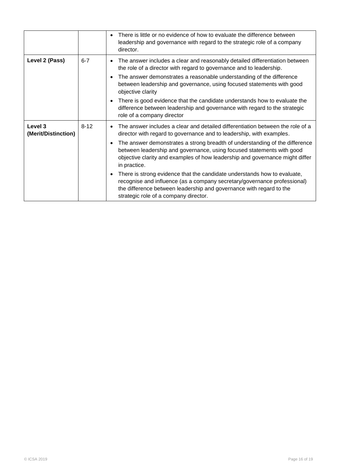|                                |          | There is little or no evidence of how to evaluate the difference between<br>$\bullet$<br>leadership and governance with regard to the strategic role of a company<br>director.                                                                                                    |
|--------------------------------|----------|-----------------------------------------------------------------------------------------------------------------------------------------------------------------------------------------------------------------------------------------------------------------------------------|
| Level 2 (Pass)                 | $6 - 7$  | The answer includes a clear and reasonably detailed differentiation between<br>$\bullet$<br>the role of a director with regard to governance and to leadership.                                                                                                                   |
|                                |          | The answer demonstrates a reasonable understanding of the difference<br>$\bullet$<br>between leadership and governance, using focused statements with good<br>objective clarity                                                                                                   |
|                                |          | There is good evidence that the candidate understands how to evaluate the<br>$\bullet$<br>difference between leadership and governance with regard to the strategic<br>role of a company director                                                                                 |
| Level 3<br>(Merit/Distinction) | $8 - 12$ | The answer includes a clear and detailed differentiation between the role of a<br>$\bullet$<br>director with regard to governance and to leadership, with examples.                                                                                                               |
|                                |          | The answer demonstrates a strong breadth of understanding of the difference<br>$\bullet$<br>between leadership and governance, using focused statements with good<br>objective clarity and examples of how leadership and governance might differ<br>in practice.                 |
|                                |          | There is strong evidence that the candidate understands how to evaluate,<br>$\bullet$<br>recognise and influence (as a company secretary/governance professional)<br>the difference between leadership and governance with regard to the<br>strategic role of a company director. |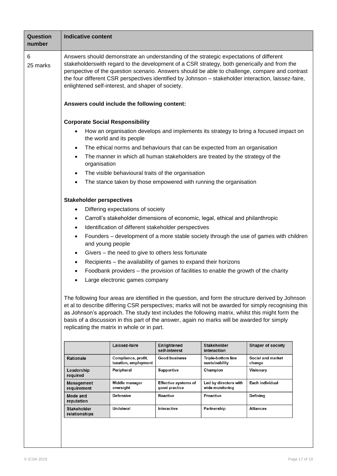| <b>Question</b><br>number |                                                                                                                                                                                                                                                                                                                                                                                                                                                                                                                                                                                                                                                                                                                                                                                                                                                                                                                                                                                                                                                                                                                                                                                                                                                                                                                                                                                                                                                                                                                                                                                                                                                                                                                                                                                                                                                                                                                                                                                                                                                                                                                                                                                                                                                                                                                                                                                                                                                                                                                                                                                                                                                                                                                                                                                                                                                                                                                                                        |  |  |  |  |  |
|---------------------------|--------------------------------------------------------------------------------------------------------------------------------------------------------------------------------------------------------------------------------------------------------------------------------------------------------------------------------------------------------------------------------------------------------------------------------------------------------------------------------------------------------------------------------------------------------------------------------------------------------------------------------------------------------------------------------------------------------------------------------------------------------------------------------------------------------------------------------------------------------------------------------------------------------------------------------------------------------------------------------------------------------------------------------------------------------------------------------------------------------------------------------------------------------------------------------------------------------------------------------------------------------------------------------------------------------------------------------------------------------------------------------------------------------------------------------------------------------------------------------------------------------------------------------------------------------------------------------------------------------------------------------------------------------------------------------------------------------------------------------------------------------------------------------------------------------------------------------------------------------------------------------------------------------------------------------------------------------------------------------------------------------------------------------------------------------------------------------------------------------------------------------------------------------------------------------------------------------------------------------------------------------------------------------------------------------------------------------------------------------------------------------------------------------------------------------------------------------------------------------------------------------------------------------------------------------------------------------------------------------------------------------------------------------------------------------------------------------------------------------------------------------------------------------------------------------------------------------------------------------------------------------------------------------------------------------------------------------|--|--|--|--|--|
| 6<br>25 marks             |                                                                                                                                                                                                                                                                                                                                                                                                                                                                                                                                                                                                                                                                                                                                                                                                                                                                                                                                                                                                                                                                                                                                                                                                                                                                                                                                                                                                                                                                                                                                                                                                                                                                                                                                                                                                                                                                                                                                                                                                                                                                                                                                                                                                                                                                                                                                                                                                                                                                                                                                                                                                                                                                                                                                                                                                                                                                                                                                                        |  |  |  |  |  |
|                           | <b>Indicative content</b><br>Answers should demonstrate an understanding of the strategic expectations of different<br>stakeholderswith regard to the development of a CSR strategy, both generically and from the<br>perspective of the question scenario. Answers should be able to challenge, compare and contrast<br>the four different CSR perspectives identified by Johnson - stakeholder interaction, laissez-faire,<br>enlightened self-interest, and shaper of society.<br>Answers could include the following content:<br><b>Corporate Social Responsibility</b><br>How an organisation develops and implements its strategy to bring a focused impact on<br>$\bullet$<br>the world and its people<br>The ethical norms and behaviours that can be expected from an organisation<br>$\bullet$<br>The manner in which all human stakeholders are treated by the strategy of the<br>$\bullet$<br>organisation<br>The visible behavioural traits of the organisation<br>٠<br>The stance taken by those empowered with running the organisation<br>$\bullet$<br><b>Stakeholder perspectives</b><br>Differing expectations of society<br>٠<br>Carroll's stakeholder dimensions of economic, legal, ethical and philanthropic<br>$\bullet$<br>Identification of different stakeholder perspectives<br>$\bullet$<br>Founders - development of a more stable society through the use of games with children<br>$\bullet$<br>and young people<br>Givers – the need to give to others less fortunate<br>$\bullet$<br>Recipients - the availability of games to expand their horizons<br>٠<br>Foodbank providers – the provision of facilities to enable the growth of the charity<br>٠<br>Large electronic games company<br>٠<br>The following four areas are identified in the question, and form the structure derived by Johnson<br>et al to describe differing CSR perspectives; marks will not be awarded for simply recognising this<br>as Johnson's approach. The study text includes the following matrix, whilst this might form the<br>basis of a discussion in this part of the answer, again no marks will be awarded for simply<br>replicating the matrix in whole or in part.<br>Laissez-faire<br><b>Enlightened</b><br><b>Stakeholder</b><br><b>Shaper of society</b><br>self-interest<br>interaction<br><b>Good business</b><br><b>Triple-bottom line</b><br><b>Rationale</b><br>Compliance, profit,<br>Social and market<br>taxation, employment<br>sustainability<br>change<br>Champion<br>Peripheral<br><b>Supportive</b><br>Visionary<br>Leadership<br>required<br>Led by directors with<br>Each individual<br><b>Management</b><br>Middle manager<br><b>Effective systems of</b><br>wide monitoring<br>oversight<br>good practice<br>requirement<br>Reactive<br><b>Proactive</b><br>Defining<br><b>Mode and</b><br><b>Defensive</b><br>reputation<br>Unilateral<br>Partnership<br><b>Stakeholder</b><br>Interactive<br>Alliances |  |  |  |  |  |
|                           |                                                                                                                                                                                                                                                                                                                                                                                                                                                                                                                                                                                                                                                                                                                                                                                                                                                                                                                                                                                                                                                                                                                                                                                                                                                                                                                                                                                                                                                                                                                                                                                                                                                                                                                                                                                                                                                                                                                                                                                                                                                                                                                                                                                                                                                                                                                                                                                                                                                                                                                                                                                                                                                                                                                                                                                                                                                                                                                                                        |  |  |  |  |  |
|                           |                                                                                                                                                                                                                                                                                                                                                                                                                                                                                                                                                                                                                                                                                                                                                                                                                                                                                                                                                                                                                                                                                                                                                                                                                                                                                                                                                                                                                                                                                                                                                                                                                                                                                                                                                                                                                                                                                                                                                                                                                                                                                                                                                                                                                                                                                                                                                                                                                                                                                                                                                                                                                                                                                                                                                                                                                                                                                                                                                        |  |  |  |  |  |
|                           |                                                                                                                                                                                                                                                                                                                                                                                                                                                                                                                                                                                                                                                                                                                                                                                                                                                                                                                                                                                                                                                                                                                                                                                                                                                                                                                                                                                                                                                                                                                                                                                                                                                                                                                                                                                                                                                                                                                                                                                                                                                                                                                                                                                                                                                                                                                                                                                                                                                                                                                                                                                                                                                                                                                                                                                                                                                                                                                                                        |  |  |  |  |  |
|                           |                                                                                                                                                                                                                                                                                                                                                                                                                                                                                                                                                                                                                                                                                                                                                                                                                                                                                                                                                                                                                                                                                                                                                                                                                                                                                                                                                                                                                                                                                                                                                                                                                                                                                                                                                                                                                                                                                                                                                                                                                                                                                                                                                                                                                                                                                                                                                                                                                                                                                                                                                                                                                                                                                                                                                                                                                                                                                                                                                        |  |  |  |  |  |
|                           |                                                                                                                                                                                                                                                                                                                                                                                                                                                                                                                                                                                                                                                                                                                                                                                                                                                                                                                                                                                                                                                                                                                                                                                                                                                                                                                                                                                                                                                                                                                                                                                                                                                                                                                                                                                                                                                                                                                                                                                                                                                                                                                                                                                                                                                                                                                                                                                                                                                                                                                                                                                                                                                                                                                                                                                                                                                                                                                                                        |  |  |  |  |  |
|                           |                                                                                                                                                                                                                                                                                                                                                                                                                                                                                                                                                                                                                                                                                                                                                                                                                                                                                                                                                                                                                                                                                                                                                                                                                                                                                                                                                                                                                                                                                                                                                                                                                                                                                                                                                                                                                                                                                                                                                                                                                                                                                                                                                                                                                                                                                                                                                                                                                                                                                                                                                                                                                                                                                                                                                                                                                                                                                                                                                        |  |  |  |  |  |
|                           |                                                                                                                                                                                                                                                                                                                                                                                                                                                                                                                                                                                                                                                                                                                                                                                                                                                                                                                                                                                                                                                                                                                                                                                                                                                                                                                                                                                                                                                                                                                                                                                                                                                                                                                                                                                                                                                                                                                                                                                                                                                                                                                                                                                                                                                                                                                                                                                                                                                                                                                                                                                                                                                                                                                                                                                                                                                                                                                                                        |  |  |  |  |  |
|                           |                                                                                                                                                                                                                                                                                                                                                                                                                                                                                                                                                                                                                                                                                                                                                                                                                                                                                                                                                                                                                                                                                                                                                                                                                                                                                                                                                                                                                                                                                                                                                                                                                                                                                                                                                                                                                                                                                                                                                                                                                                                                                                                                                                                                                                                                                                                                                                                                                                                                                                                                                                                                                                                                                                                                                                                                                                                                                                                                                        |  |  |  |  |  |
|                           |                                                                                                                                                                                                                                                                                                                                                                                                                                                                                                                                                                                                                                                                                                                                                                                                                                                                                                                                                                                                                                                                                                                                                                                                                                                                                                                                                                                                                                                                                                                                                                                                                                                                                                                                                                                                                                                                                                                                                                                                                                                                                                                                                                                                                                                                                                                                                                                                                                                                                                                                                                                                                                                                                                                                                                                                                                                                                                                                                        |  |  |  |  |  |
|                           |                                                                                                                                                                                                                                                                                                                                                                                                                                                                                                                                                                                                                                                                                                                                                                                                                                                                                                                                                                                                                                                                                                                                                                                                                                                                                                                                                                                                                                                                                                                                                                                                                                                                                                                                                                                                                                                                                                                                                                                                                                                                                                                                                                                                                                                                                                                                                                                                                                                                                                                                                                                                                                                                                                                                                                                                                                                                                                                                                        |  |  |  |  |  |
|                           |                                                                                                                                                                                                                                                                                                                                                                                                                                                                                                                                                                                                                                                                                                                                                                                                                                                                                                                                                                                                                                                                                                                                                                                                                                                                                                                                                                                                                                                                                                                                                                                                                                                                                                                                                                                                                                                                                                                                                                                                                                                                                                                                                                                                                                                                                                                                                                                                                                                                                                                                                                                                                                                                                                                                                                                                                                                                                                                                                        |  |  |  |  |  |
|                           |                                                                                                                                                                                                                                                                                                                                                                                                                                                                                                                                                                                                                                                                                                                                                                                                                                                                                                                                                                                                                                                                                                                                                                                                                                                                                                                                                                                                                                                                                                                                                                                                                                                                                                                                                                                                                                                                                                                                                                                                                                                                                                                                                                                                                                                                                                                                                                                                                                                                                                                                                                                                                                                                                                                                                                                                                                                                                                                                                        |  |  |  |  |  |
|                           |                                                                                                                                                                                                                                                                                                                                                                                                                                                                                                                                                                                                                                                                                                                                                                                                                                                                                                                                                                                                                                                                                                                                                                                                                                                                                                                                                                                                                                                                                                                                                                                                                                                                                                                                                                                                                                                                                                                                                                                                                                                                                                                                                                                                                                                                                                                                                                                                                                                                                                                                                                                                                                                                                                                                                                                                                                                                                                                                                        |  |  |  |  |  |
|                           |                                                                                                                                                                                                                                                                                                                                                                                                                                                                                                                                                                                                                                                                                                                                                                                                                                                                                                                                                                                                                                                                                                                                                                                                                                                                                                                                                                                                                                                                                                                                                                                                                                                                                                                                                                                                                                                                                                                                                                                                                                                                                                                                                                                                                                                                                                                                                                                                                                                                                                                                                                                                                                                                                                                                                                                                                                                                                                                                                        |  |  |  |  |  |
|                           |                                                                                                                                                                                                                                                                                                                                                                                                                                                                                                                                                                                                                                                                                                                                                                                                                                                                                                                                                                                                                                                                                                                                                                                                                                                                                                                                                                                                                                                                                                                                                                                                                                                                                                                                                                                                                                                                                                                                                                                                                                                                                                                                                                                                                                                                                                                                                                                                                                                                                                                                                                                                                                                                                                                                                                                                                                                                                                                                                        |  |  |  |  |  |
|                           |                                                                                                                                                                                                                                                                                                                                                                                                                                                                                                                                                                                                                                                                                                                                                                                                                                                                                                                                                                                                                                                                                                                                                                                                                                                                                                                                                                                                                                                                                                                                                                                                                                                                                                                                                                                                                                                                                                                                                                                                                                                                                                                                                                                                                                                                                                                                                                                                                                                                                                                                                                                                                                                                                                                                                                                                                                                                                                                                                        |  |  |  |  |  |
|                           |                                                                                                                                                                                                                                                                                                                                                                                                                                                                                                                                                                                                                                                                                                                                                                                                                                                                                                                                                                                                                                                                                                                                                                                                                                                                                                                                                                                                                                                                                                                                                                                                                                                                                                                                                                                                                                                                                                                                                                                                                                                                                                                                                                                                                                                                                                                                                                                                                                                                                                                                                                                                                                                                                                                                                                                                                                                                                                                                                        |  |  |  |  |  |
|                           |                                                                                                                                                                                                                                                                                                                                                                                                                                                                                                                                                                                                                                                                                                                                                                                                                                                                                                                                                                                                                                                                                                                                                                                                                                                                                                                                                                                                                                                                                                                                                                                                                                                                                                                                                                                                                                                                                                                                                                                                                                                                                                                                                                                                                                                                                                                                                                                                                                                                                                                                                                                                                                                                                                                                                                                                                                                                                                                                                        |  |  |  |  |  |
|                           |                                                                                                                                                                                                                                                                                                                                                                                                                                                                                                                                                                                                                                                                                                                                                                                                                                                                                                                                                                                                                                                                                                                                                                                                                                                                                                                                                                                                                                                                                                                                                                                                                                                                                                                                                                                                                                                                                                                                                                                                                                                                                                                                                                                                                                                                                                                                                                                                                                                                                                                                                                                                                                                                                                                                                                                                                                                                                                                                                        |  |  |  |  |  |
|                           |                                                                                                                                                                                                                                                                                                                                                                                                                                                                                                                                                                                                                                                                                                                                                                                                                                                                                                                                                                                                                                                                                                                                                                                                                                                                                                                                                                                                                                                                                                                                                                                                                                                                                                                                                                                                                                                                                                                                                                                                                                                                                                                                                                                                                                                                                                                                                                                                                                                                                                                                                                                                                                                                                                                                                                                                                                                                                                                                                        |  |  |  |  |  |
|                           |                                                                                                                                                                                                                                                                                                                                                                                                                                                                                                                                                                                                                                                                                                                                                                                                                                                                                                                                                                                                                                                                                                                                                                                                                                                                                                                                                                                                                                                                                                                                                                                                                                                                                                                                                                                                                                                                                                                                                                                                                                                                                                                                                                                                                                                                                                                                                                                                                                                                                                                                                                                                                                                                                                                                                                                                                                                                                                                                                        |  |  |  |  |  |
|                           | relationships                                                                                                                                                                                                                                                                                                                                                                                                                                                                                                                                                                                                                                                                                                                                                                                                                                                                                                                                                                                                                                                                                                                                                                                                                                                                                                                                                                                                                                                                                                                                                                                                                                                                                                                                                                                                                                                                                                                                                                                                                                                                                                                                                                                                                                                                                                                                                                                                                                                                                                                                                                                                                                                                                                                                                                                                                                                                                                                                          |  |  |  |  |  |
|                           |                                                                                                                                                                                                                                                                                                                                                                                                                                                                                                                                                                                                                                                                                                                                                                                                                                                                                                                                                                                                                                                                                                                                                                                                                                                                                                                                                                                                                                                                                                                                                                                                                                                                                                                                                                                                                                                                                                                                                                                                                                                                                                                                                                                                                                                                                                                                                                                                                                                                                                                                                                                                                                                                                                                                                                                                                                                                                                                                                        |  |  |  |  |  |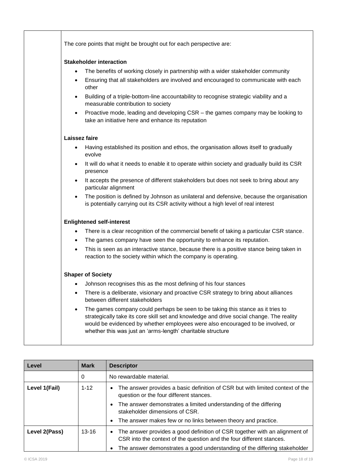| The core points that might be brought out for each perspective are:                                                                                                                                                                                                                                                                        |  |  |  |  |  |
|--------------------------------------------------------------------------------------------------------------------------------------------------------------------------------------------------------------------------------------------------------------------------------------------------------------------------------------------|--|--|--|--|--|
| <b>Stakeholder interaction</b>                                                                                                                                                                                                                                                                                                             |  |  |  |  |  |
| The benefits of working closely in partnership with a wider stakeholder community<br>$\bullet$                                                                                                                                                                                                                                             |  |  |  |  |  |
| Ensuring that all stakeholders are involved and encouraged to communicate with each<br>$\bullet$<br>other                                                                                                                                                                                                                                  |  |  |  |  |  |
| Building of a triple-bottom-line accountability to recognise strategic viability and a<br>measurable contribution to society                                                                                                                                                                                                               |  |  |  |  |  |
| Proactive mode, leading and developing CSR - the games company may be looking to<br>$\bullet$<br>take an initiative here and enhance its reputation                                                                                                                                                                                        |  |  |  |  |  |
| Laissez faire                                                                                                                                                                                                                                                                                                                              |  |  |  |  |  |
| Having established its position and ethos, the organisation allows itself to gradually<br>evolve                                                                                                                                                                                                                                           |  |  |  |  |  |
| It will do what it needs to enable it to operate within society and gradually build its CSR<br>$\bullet$<br>presence                                                                                                                                                                                                                       |  |  |  |  |  |
| It accepts the presence of different stakeholders but does not seek to bring about any<br>$\bullet$<br>particular alignment                                                                                                                                                                                                                |  |  |  |  |  |
| The position is defined by Johnson as unilateral and defensive, because the organisation<br>is potentially carrying out its CSR activity without a high level of real interest                                                                                                                                                             |  |  |  |  |  |
| <b>Enlightened self-interest</b>                                                                                                                                                                                                                                                                                                           |  |  |  |  |  |
| There is a clear recognition of the commercial benefit of taking a particular CSR stance.<br>$\bullet$                                                                                                                                                                                                                                     |  |  |  |  |  |
| The games company have seen the opportunity to enhance its reputation.<br>$\bullet$                                                                                                                                                                                                                                                        |  |  |  |  |  |
| This is seen as an interactive stance, because there is a positive stance being taken in<br>$\bullet$<br>reaction to the society within which the company is operating.                                                                                                                                                                    |  |  |  |  |  |
| <b>Shaper of Society</b>                                                                                                                                                                                                                                                                                                                   |  |  |  |  |  |
| Johnson recognises this as the most defining of his four stances                                                                                                                                                                                                                                                                           |  |  |  |  |  |
| There is a deliberate, visionary and proactive CSR strategy to bring about alliances<br>$\bullet$<br>between different stakeholders                                                                                                                                                                                                        |  |  |  |  |  |
| The games company could perhaps be seen to be taking this stance as it tries to<br>$\bullet$<br>strategically take its core skill set and knowledge and drive social change. The reality<br>would be evidenced by whether employees were also encouraged to be involved, or<br>whether this was just an 'arms-length' charitable structure |  |  |  |  |  |
|                                                                                                                                                                                                                                                                                                                                            |  |  |  |  |  |

| Level         | <b>Mark</b> | <b>Descriptor</b>                                                                                                                                               |
|---------------|-------------|-----------------------------------------------------------------------------------------------------------------------------------------------------------------|
|               | 0           | No rewardable material.                                                                                                                                         |
| Level 1(Fail) | $1 - 12$    | The answer provides a basic definition of CSR but with limited context of the<br>$\bullet$<br>question or the four different stances.                           |
|               |             | The answer demonstrates a limited understanding of the differing<br>$\bullet$<br>stakeholder dimensions of CSR.                                                 |
|               |             | The answer makes few or no links between theory and practice.<br>$\bullet$                                                                                      |
| Level 2(Pass) | $13 - 16$   | The answer provides a good definition of CSR together with an alignment of<br>$\bullet$<br>CSR into the context of the question and the four different stances. |
|               |             | The answer demonstrates a good understanding of the differing stakeholder                                                                                       |